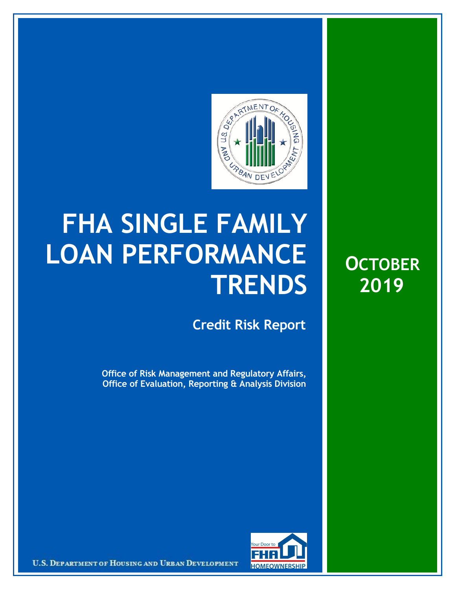

## **FHA SINGLE FAMILY LOAN PERFORMANCE TRENDS**

**Credit Risk Report**

**Office of Risk Management and Regulatory Affairs, Office of Evaluation, Reporting & Analysis Division**





U.S. DEPARTMENT OF HOUSING AND URBAN DEVELOPMENT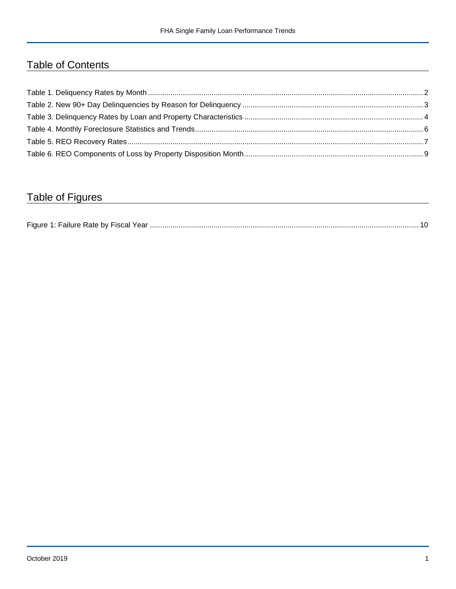## Table of Contents

## Table of Figures

| $-$ laure. |  |
|------------|--|
|------------|--|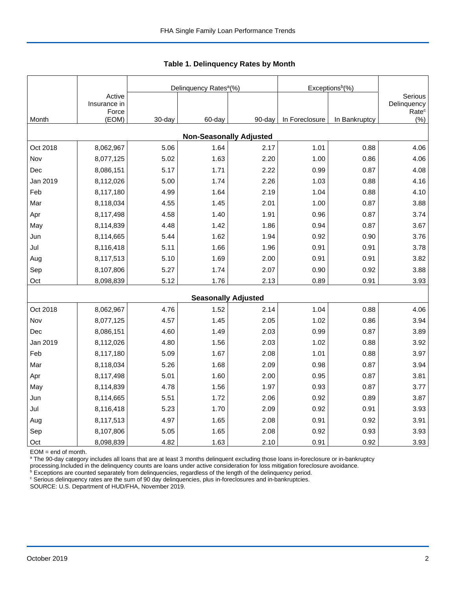|          |                                 |        | Delinquency Rates <sup>a</sup> (%) |        | Exceptions <sup>b</sup> (%) |               |                                             |
|----------|---------------------------------|--------|------------------------------------|--------|-----------------------------|---------------|---------------------------------------------|
|          | Active<br>Insurance in<br>Force |        |                                    |        |                             |               | Serious<br>Delinquency<br>Rate <sup>c</sup> |
| Month    | (EOM)                           | 30-day | 60-day                             | 90-day | In Foreclosure              | In Bankruptcy | (%)                                         |
|          |                                 |        | <b>Non-Seasonally Adjusted</b>     |        |                             |               |                                             |
| Oct 2018 | 8,062,967                       | 5.06   | 1.64                               | 2.17   | 1.01                        | 0.88          | 4.06                                        |
| Nov      | 8,077,125                       | 5.02   | 1.63                               | 2.20   | 1.00                        | 0.86          | 4.06                                        |
| Dec      | 8,086,151                       | 5.17   | 1.71                               | 2.22   | 0.99                        | 0.87          | 4.08                                        |
| Jan 2019 | 8,112,026                       | 5.00   | 1.74                               | 2.26   | 1.03                        | 0.88          | 4.16                                        |
| Feb      | 8,117,180                       | 4.99   | 1.64                               | 2.19   | 1.04                        | 0.88          | 4.10                                        |
| Mar      | 8,118,034                       | 4.55   | 1.45                               | 2.01   | 1.00                        | 0.87          | 3.88                                        |
| Apr      | 8,117,498                       | 4.58   | 1.40                               | 1.91   | 0.96                        | 0.87          | 3.74                                        |
| May      | 8,114,839                       | 4.48   | 1.42                               | 1.86   | 0.94                        | 0.87          | 3.67                                        |
| Jun      | 8,114,665                       | 5.44   | 1.62                               | 1.94   | 0.92                        | 0.90          | 3.76                                        |
| Jul      | 8,116,418                       | 5.11   | 1.66                               | 1.96   | 0.91                        | 0.91          | 3.78                                        |
| Aug      | 8,117,513                       | 5.10   | 1.69                               | 2.00   | 0.91                        | 0.91          | 3.82                                        |
| Sep      | 8,107,806                       | 5.27   | 1.74                               | 2.07   | 0.90                        | 0.92          | 3.88                                        |
| Oct      | 8,098,839                       | 5.12   | 1.76                               | 2.13   | 0.89                        | 0.91          | 3.93                                        |
|          |                                 |        | <b>Seasonally Adjusted</b>         |        |                             |               |                                             |
| Oct 2018 | 8,062,967                       | 4.76   | 1.52                               | 2.14   | 1.04                        | 0.88          | 4.06                                        |
| Nov      | 8,077,125                       | 4.57   | 1.45                               | 2.05   | 1.02                        | 0.86          | 3.94                                        |
| Dec      | 8,086,151                       | 4.60   | 1.49                               | 2.03   | 0.99                        | 0.87          | 3.89                                        |
| Jan 2019 | 8,112,026                       | 4.80   | 1.56                               | 2.03   | 1.02                        | 0.88          | 3.92                                        |
| Feb      | 8,117,180                       | 5.09   | 1.67                               | 2.08   | 1.01                        | 0.88          | 3.97                                        |
| Mar      | 8,118,034                       | 5.26   | 1.68                               | 2.09   | 0.98                        | 0.87          | 3.94                                        |
| Apr      | 8,117,498                       | 5.01   | 1.60                               | 2.00   | 0.95                        | 0.87          | 3.81                                        |
| May      | 8,114,839                       | 4.78   | 1.56                               | 1.97   | 0.93                        | 0.87          | 3.77                                        |
| Jun      | 8,114,665                       | 5.51   | 1.72                               | 2.06   | 0.92                        | 0.89          | 3.87                                        |
| Jul      | 8,116,418                       | 5.23   | 1.70                               | 2.09   | 0.92                        | 0.91          | 3.93                                        |
| Aug      | 8,117,513                       | 4.97   | 1.65                               | 2.08   | 0.91                        | 0.92          | 3.91                                        |
| Sep      | 8,107,806                       | 5.05   | 1.65                               | 2.08   | 0.92                        | 0.93          | 3.93                                        |
| Oct      | 8,098,839                       | 4.82   | 1.63                               | 2.10   | 0.91                        | 0.92          | 3.93                                        |

 **Table 1. Delinquency Rates by Month**

EOM = end of month.

<sup>a</sup> The 90-day category includes all loans that are at least 3 months delinquent excluding those loans in-foreclosure or in-bankruptcy

processing.Included in the delinquency counts are loans under active consideration for loss mitigation foreclosure avoidance.<br><sup>b</sup> Exceptions are counted separately from delinquencies, regardless of the length of the delinq

<sup>c</sup> Serious delinquency rates are the sum of 90 day delinquencies, plus in-foreclosures and in-bankruptcies.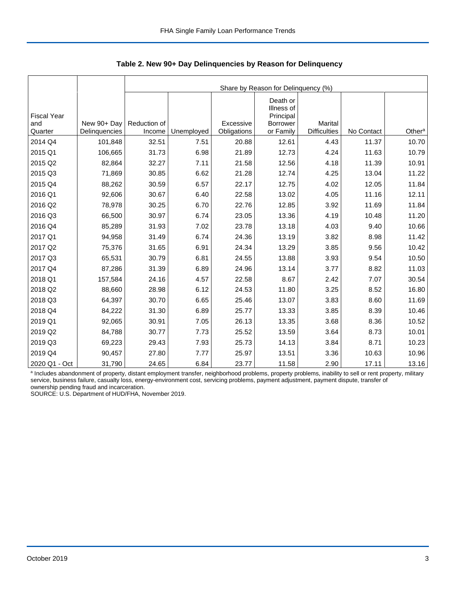|                                      |                              |                        | Share by Reason for Delinquency (%) |                          |                                                              |                                |            |                    |  |  |  |  |  |
|--------------------------------------|------------------------------|------------------------|-------------------------------------|--------------------------|--------------------------------------------------------------|--------------------------------|------------|--------------------|--|--|--|--|--|
| <b>Fiscal Year</b><br>and<br>Quarter | New 90+ Day<br>Delinquencies | Reduction of<br>Income | Unemployed                          | Excessive<br>Obligations | Death or<br>Illness of<br>Principal<br>Borrower<br>or Family | Marital<br><b>Difficulties</b> | No Contact | Other <sup>a</sup> |  |  |  |  |  |
| 2014 Q4                              | 101,848                      | 32.51                  | 7.51                                | 20.88                    | 12.61                                                        | 4.43                           | 11.37      | 10.70              |  |  |  |  |  |
|                                      |                              |                        |                                     |                          |                                                              |                                |            |                    |  |  |  |  |  |
| 2015 Q1                              | 106,665                      | 31.73                  | 6.98                                | 21.89                    | 12.73                                                        | 4.24                           | 11.63      | 10.79              |  |  |  |  |  |
| 2015 Q2                              | 82,864                       | 32.27                  | 7.11                                | 21.58                    | 12.56                                                        | 4.18                           | 11.39      | 10.91              |  |  |  |  |  |
| 2015 Q3                              | 71,869                       | 30.85                  | 6.62                                | 21.28                    | 12.74                                                        | 4.25                           | 13.04      | 11.22              |  |  |  |  |  |
| 2015 Q4                              | 88,262                       | 30.59                  | 6.57                                | 22.17                    | 12.75                                                        | 4.02                           | 12.05      | 11.84              |  |  |  |  |  |
| 2016 Q1                              | 92,606                       | 30.67                  | 6.40                                | 22.58                    | 13.02                                                        | 4.05                           | 11.16      | 12.11              |  |  |  |  |  |
| 2016 Q2                              | 78,978                       | 30.25                  | 6.70                                | 22.76                    | 12.85                                                        | 3.92                           | 11.69      | 11.84              |  |  |  |  |  |
| 2016 Q3                              | 66,500                       | 30.97                  | 6.74                                | 23.05                    | 13.36                                                        | 4.19                           | 10.48      | 11.20              |  |  |  |  |  |
| 2016 Q4                              | 85,289                       | 31.93                  | 7.02                                | 23.78                    | 13.18                                                        | 4.03                           | 9.40       | 10.66              |  |  |  |  |  |
| 2017 Q1                              | 94,958                       | 31.49                  | 6.74                                | 24.36                    | 13.19                                                        | 3.82                           | 8.98       | 11.42              |  |  |  |  |  |
| 2017 Q2                              | 75,376                       | 31.65                  | 6.91                                | 24.34                    | 13.29                                                        | 3.85                           | 9.56       | 10.42              |  |  |  |  |  |
| 2017 Q3                              | 65,531                       | 30.79                  | 6.81                                | 24.55                    | 13.88                                                        | 3.93                           | 9.54       | 10.50              |  |  |  |  |  |
| 2017 Q4                              | 87,286                       | 31.39                  | 6.89                                | 24.96                    | 13.14                                                        | 3.77                           | 8.82       | 11.03              |  |  |  |  |  |
| 2018 Q1                              | 157,584                      | 24.16                  | 4.57                                | 22.58                    | 8.67                                                         | 2.42                           | 7.07       | 30.54              |  |  |  |  |  |
| 2018 Q2                              | 88,660                       | 28.98                  | 6.12                                | 24.53                    | 11.80                                                        | 3.25                           | 8.52       | 16.80              |  |  |  |  |  |
| 2018 Q3                              | 64,397                       | 30.70                  | 6.65                                | 25.46                    | 13.07                                                        | 3.83                           | 8.60       | 11.69              |  |  |  |  |  |
| 2018 Q4                              | 84,222                       | 31.30                  | 6.89                                | 25.77                    | 13.33                                                        | 3.85                           | 8.39       | 10.46              |  |  |  |  |  |
| 2019 Q1                              | 92,065                       | 30.91                  | 7.05                                | 26.13                    | 13.35                                                        | 3.68                           | 8.36       | 10.52              |  |  |  |  |  |
| 2019 Q2                              | 84,788                       | 30.77                  | 7.73                                | 25.52                    | 13.59                                                        | 3.64                           | 8.73       | 10.01              |  |  |  |  |  |
| 2019 Q3                              | 69,223                       | 29.43                  | 7.93                                | 25.73                    | 14.13                                                        | 3.84                           | 8.71       | 10.23              |  |  |  |  |  |
| 2019 Q4                              | 90,457                       | 27.80                  | 7.77                                | 25.97                    | 13.51                                                        | 3.36                           | 10.63      | 10.96              |  |  |  |  |  |
| 2020 Q1 - Oct                        | 31,790                       | 24.65                  | 6.84                                | 23.77                    | 11.58                                                        | 2.90                           | 17.11      | 13.16              |  |  |  |  |  |

 **Table 2. New 90+ Day Delinquencies by Reason for Delinquency**

a Includes abandonment of property, distant employment transfer, neighborhood problems, property problems, inability to sell or rent property, military service, business failure, casualty loss, energy-environment cost, servicing problems, payment adjustment, payment dispute, transfer of ownership pending fraud and incarceration.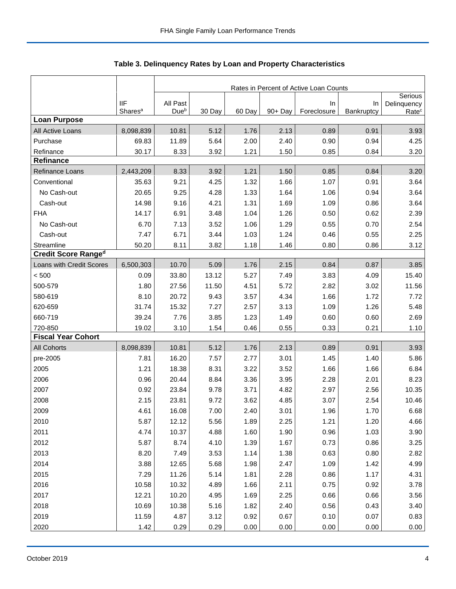|                            |                                   | Rates in Percent of Active Loan Counts |        |        |            |                   |                  |                                  |  |  |
|----------------------------|-----------------------------------|----------------------------------------|--------|--------|------------|-------------------|------------------|----------------------------------|--|--|
|                            |                                   |                                        |        |        |            |                   |                  | Serious                          |  |  |
|                            | <b>IIF</b><br>Shares <sup>a</sup> | All Past<br>Due <sup>b</sup>           | 30 Day | 60 Day | $90 + Day$ | In<br>Foreclosure | In<br>Bankruptcy | Delinquency<br>Rate <sup>c</sup> |  |  |
| <b>Loan Purpose</b>        |                                   |                                        |        |        |            |                   |                  |                                  |  |  |
| All Active Loans           | 8,098,839                         | 10.81                                  | 5.12   | 1.76   | 2.13       | 0.89              | 0.91             | 3.93                             |  |  |
| Purchase                   | 69.83                             | 11.89                                  | 5.64   | 2.00   | 2.40       | 0.90              | 0.94             | 4.25                             |  |  |
| Refinance                  | 30.17                             | 8.33                                   | 3.92   | 1.21   | 1.50       | 0.85              | 0.84             | 3.20                             |  |  |
| <b>Refinance</b>           |                                   |                                        |        |        |            |                   |                  |                                  |  |  |
| <b>Refinance Loans</b>     | 2,443,209                         | 8.33                                   | 3.92   | 1.21   | 1.50       | 0.85              | 0.84             | 3.20                             |  |  |
| Conventional               | 35.63                             | 9.21                                   | 4.25   | 1.32   | 1.66       | 1.07              | 0.91             | 3.64                             |  |  |
| No Cash-out                | 20.65                             | 9.25                                   | 4.28   | 1.33   | 1.64       | 1.06              | 0.94             | 3.64                             |  |  |
| Cash-out                   | 14.98                             | 9.16                                   | 4.21   | 1.31   | 1.69       | 1.09              | 0.86             | 3.64                             |  |  |
| <b>FHA</b>                 | 14.17                             | 6.91                                   | 3.48   | 1.04   | 1.26       | 0.50              | 0.62             | 2.39                             |  |  |
| No Cash-out                | 6.70                              | 7.13                                   | 3.52   | 1.06   | 1.29       | 0.55              | 0.70             | 2.54                             |  |  |
| Cash-out                   | 7.47                              | 6.71                                   | 3.44   | 1.03   | 1.24       | 0.46              | 0.55             | 2.25                             |  |  |
| Streamline                 | 50.20                             | 8.11                                   | 3.82   | 1.18   | 1.46       | 0.80              | 0.86             | 3.12                             |  |  |
| <b>Credit Score Ranged</b> |                                   |                                        |        |        |            |                   |                  |                                  |  |  |
| Loans with Credit Scores   | 6,500,303                         | 10.70                                  | 5.09   | 1.76   | 2.15       | 0.84              | 0.87             | 3.85                             |  |  |
| < 500                      | 0.09                              | 33.80                                  | 13.12  | 5.27   | 7.49       | 3.83              | 4.09             | 15.40                            |  |  |
| 500-579                    | 1.80                              | 27.56                                  | 11.50  | 4.51   | 5.72       | 2.82              | 3.02             | 11.56                            |  |  |
| 580-619                    | 8.10                              | 20.72                                  | 9.43   | 3.57   | 4.34       | 1.66              | 1.72             | 7.72                             |  |  |
| 620-659                    | 31.74                             | 15.32                                  | 7.27   | 2.57   | 3.13       | 1.09              | 1.26             | 5.48                             |  |  |
| 660-719                    | 39.24                             | 7.76                                   | 3.85   | 1.23   | 1.49       | 0.60              | 0.60             | 2.69                             |  |  |
| 720-850                    | 19.02                             | 3.10                                   | 1.54   | 0.46   | 0.55       | 0.33              | 0.21             | 1.10                             |  |  |
| <b>Fiscal Year Cohort</b>  |                                   |                                        |        |        |            |                   |                  |                                  |  |  |
| <b>All Cohorts</b>         | 8,098,839                         | 10.81                                  | 5.12   | 1.76   | 2.13       | 0.89              | 0.91             | 3.93                             |  |  |
| pre-2005                   | 7.81                              | 16.20                                  | 7.57   | 2.77   | 3.01       | 1.45              | 1.40             | 5.86                             |  |  |
| 2005                       | 1.21                              | 18.38                                  | 8.31   | 3.22   | 3.52       | 1.66              | 1.66             | 6.84                             |  |  |
| 2006                       | 0.96                              | 20.44                                  | 8.84   | 3.36   | 3.95       | 2.28              | 2.01             | 8.23                             |  |  |
| 2007                       | 0.92                              | 23.84                                  | 9.78   | 3.71   | 4.82       | 2.97              | 2.56             | 10.35                            |  |  |
| 2008                       | 2.15                              | 23.81                                  | 9.72   | 3.62   | 4.85       | 3.07              | 2.54             | 10.46                            |  |  |
| 2009                       | 4.61                              | 16.08                                  | 7.00   | 2.40   | 3.01       | 1.96              | 1.70             | 6.68                             |  |  |
| 2010                       | 5.87                              | 12.12                                  | 5.56   | 1.89   | 2.25       | 1.21              | 1.20             | 4.66                             |  |  |
| 2011                       | 4.74                              | 10.37                                  | 4.88   | 1.60   | 1.90       | 0.96              | 1.03             | 3.90                             |  |  |
| 2012                       | 5.87                              | 8.74                                   | 4.10   | 1.39   | 1.67       | 0.73              | 0.86             | 3.25                             |  |  |
| 2013                       | 8.20                              | 7.49                                   | 3.53   | 1.14   | 1.38       | 0.63              | 0.80             | 2.82                             |  |  |
| 2014                       | 3.88                              | 12.65                                  | 5.68   | 1.98   | 2.47       | 1.09              | 1.42             | 4.99                             |  |  |
| 2015                       | 7.29                              | 11.26                                  | 5.14   | 1.81   | 2.28       | 0.86              | 1.17             | 4.31                             |  |  |
| 2016                       | 10.58                             | 10.32                                  | 4.89   | 1.66   | 2.11       | 0.75              | 0.92             | 3.78                             |  |  |
| 2017                       | 12.21                             | 10.20                                  | 4.95   | 1.69   | 2.25       | 0.66              | 0.66             | 3.56                             |  |  |
| 2018                       | 10.69                             | 10.38                                  | 5.16   | 1.82   | 2.40       | 0.56              | 0.43             | 3.40                             |  |  |
| 2019                       | 11.59                             | 4.87                                   | 3.12   | 0.92   | 0.67       | 0.10              | 0.07             | 0.83                             |  |  |
| 2020                       | 1.42                              | 0.29                                   | 0.29   | 0.00   | 0.00       | 0.00              | 0.00             | 0.00                             |  |  |

**Table 3. Delinquency Rates by Loan and Property Characteristics**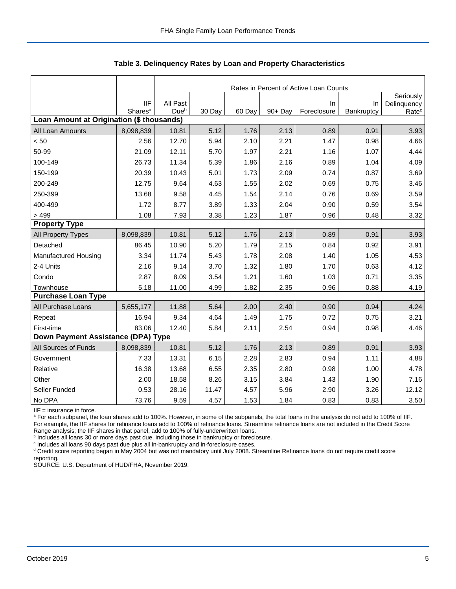|                                           |                                   | Rates in Percent of Active Loan Counts |        |        |         |                   |                  |                                  |  |  |
|-------------------------------------------|-----------------------------------|----------------------------------------|--------|--------|---------|-------------------|------------------|----------------------------------|--|--|
|                                           |                                   |                                        |        |        |         |                   |                  | Seriously                        |  |  |
|                                           | <b>IIF</b><br>Shares <sup>a</sup> | All Past<br>Due <sup>b</sup>           | 30 Day | 60 Day | 90+ Day | In<br>Foreclosure | In<br>Bankruptcy | Delinquency<br>Rate <sup>c</sup> |  |  |
| Loan Amount at Origination (\$ thousands) |                                   |                                        |        |        |         |                   |                  |                                  |  |  |
| All Loan Amounts                          | 8,098,839                         | 10.81                                  | 5.12   | 1.76   | 2.13    | 0.89              | 0.91             | 3.93                             |  |  |
| < 50                                      | 2.56                              | 12.70                                  | 5.94   | 2.10   | 2.21    | 1.47              | 0.98             | 4.66                             |  |  |
| 50-99                                     | 21.09                             | 12.11                                  | 5.70   | 1.97   | 2.21    | 1.16              | 1.07             | 4.44                             |  |  |
| 100-149                                   | 26.73                             | 11.34                                  | 5.39   | 1.86   | 2.16    | 0.89              | 1.04             | 4.09                             |  |  |
| 150-199                                   | 20.39                             | 10.43                                  | 5.01   | 1.73   | 2.09    | 0.74              | 0.87             | 3.69                             |  |  |
| 200-249                                   | 12.75                             | 9.64                                   | 4.63   | 1.55   | 2.02    | 0.69              | 0.75             | 3.46                             |  |  |
| 250-399                                   | 13.68                             | 9.58                                   | 4.45   | 1.54   | 2.14    | 0.76              | 0.69             | 3.59                             |  |  |
| 400-499                                   | 1.72                              | 8.77                                   | 3.89   | 1.33   | 2.04    | 0.90              | 0.59             | 3.54                             |  |  |
| > 499                                     | 1.08                              | 7.93                                   | 3.38   | 1.23   | 1.87    | 0.96              | 0.48             | 3.32                             |  |  |
| <b>Property Type</b>                      |                                   |                                        |        |        |         |                   |                  |                                  |  |  |
| All Property Types                        | 8,098,839                         | 10.81                                  | 5.12   | 1.76   | 2.13    | 0.89              | 0.91             | 3.93                             |  |  |
| Detached                                  | 86.45                             | 10.90                                  | 5.20   | 1.79   | 2.15    | 0.84              | 0.92             | 3.91                             |  |  |
| <b>Manufactured Housing</b>               | 3.34                              | 11.74                                  | 5.43   | 1.78   | 2.08    | 1.40              | 1.05             | 4.53                             |  |  |
| 2-4 Units                                 | 2.16                              | 9.14                                   | 3.70   | 1.32   | 1.80    | 1.70              | 0.63             | 4.12                             |  |  |
| Condo                                     | 2.87                              | 8.09                                   | 3.54   | 1.21   | 1.60    | 1.03              | 0.71             | 3.35                             |  |  |
| Townhouse                                 | 5.18                              | 11.00                                  | 4.99   | 1.82   | 2.35    | 0.96              | 0.88             | 4.19                             |  |  |
| <b>Purchase Loan Type</b>                 |                                   |                                        |        |        |         |                   |                  |                                  |  |  |
| All Purchase Loans                        | 5,655,177                         | 11.88                                  | 5.64   | 2.00   | 2.40    | 0.90              | 0.94             | 4.24                             |  |  |
| Repeat                                    | 16.94                             | 9.34                                   | 4.64   | 1.49   | 1.75    | 0.72              | 0.75             | 3.21                             |  |  |
| First-time                                | 83.06                             | 12.40                                  | 5.84   | 2.11   | 2.54    | 0.94              | 0.98             | 4.46                             |  |  |
| Down Payment Assistance (DPA) Type        |                                   |                                        |        |        |         |                   |                  |                                  |  |  |
| All Sources of Funds                      | 8,098,839                         | 10.81                                  | 5.12   | 1.76   | 2.13    | 0.89              | 0.91             | 3.93                             |  |  |
| Government                                | 7.33                              | 13.31                                  | 6.15   | 2.28   | 2.83    | 0.94              | 1.11             | 4.88                             |  |  |
| Relative                                  | 16.38                             | 13.68                                  | 6.55   | 2.35   | 2.80    | 0.98              | 1.00             | 4.78                             |  |  |
| Other                                     | 2.00                              | 18.58                                  | 8.26   | 3.15   | 3.84    | 1.43              | 1.90             | 7.16                             |  |  |
| Seller Funded                             | 0.53                              | 28.16                                  | 11.47  | 4.57   | 5.96    | 2.90              | 3.26             | 12.12                            |  |  |
| No DPA                                    | 73.76                             | 9.59                                   | 4.57   | 1.53   | 1.84    | 0.83              | 0.83             | 3.50                             |  |  |

 **Table 3. Delinquency Rates by Loan and Property Characteristics**

IIF = insurance in force.

<sup>a</sup> For each subpanel, the loan shares add to 100%. However, in some of the subpanels, the total loans in the analysis do not add to 100% of IIF. For example, the IIF shares for refinance loans add to 100% of refinance loans. Streamline refinance loans are not included in the Credit Score

Range analysis; the IIF shares in that panel, add to 100% of fully-underwritten loans.<br><sup>b</sup> Includes all loans 30 or more days past due, including those in bankruptcy or foreclosure.

<sup>c</sup> Includes all loans 90 days past due plus all in-bankruptcy and in-foreclosure cases.

<sup>d</sup> Credit score reporting began in May 2004 but was not mandatory until July 2008. Streamline Refinance loans do not require credit score reporting.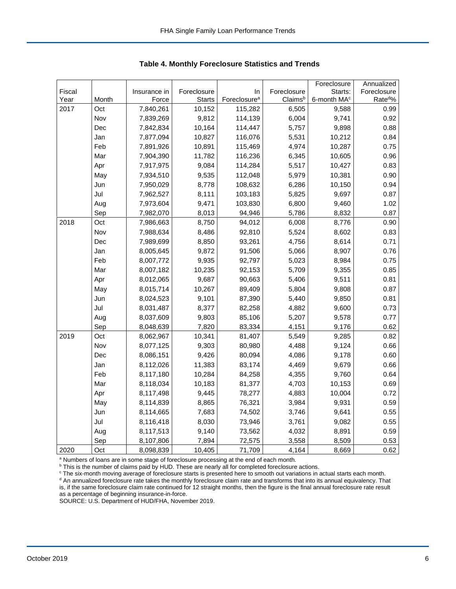|        |       |              |               |                          |             | Foreclosure             | Annualized          |
|--------|-------|--------------|---------------|--------------------------|-------------|-------------------------|---------------------|
| Fiscal |       | Insurance in | Foreclosure   | In                       | Foreclosure | Starts:                 | Foreclosure         |
| Year   | Month | Force        | <b>Starts</b> | Foreclosure <sup>a</sup> | Claimsb     | 6-month MA <sup>c</sup> | Rate <sup>d</sup> % |
| 2017   | Oct   | 7,840,261    | 10,152        | 115,282                  | 6,505       | 9,588                   | 0.99                |
|        | Nov   | 7,839,269    | 9,812         | 114,139                  | 6,004       | 9,741                   | 0.92                |
|        | Dec   | 7,842,834    | 10,164        | 114,447                  | 5,757       | 9,898                   | 0.88                |
|        | Jan   | 7,877,094    | 10,827        | 116,076                  | 5,531       | 10,212                  | 0.84                |
|        | Feb   | 7,891,926    | 10,891        | 115,469                  | 4,974       | 10,287                  | 0.75                |
|        | Mar   | 7,904,390    | 11,782        | 116,236                  | 6,345       | 10,605                  | 0.96                |
|        | Apr   | 7,917,975    | 9,084         | 114,284                  | 5,517       | 10,427                  | 0.83                |
|        | May   | 7,934,510    | 9,535         | 112,048                  | 5,979       | 10,381                  | 0.90                |
|        | Jun   | 7,950,029    | 8,778         | 108,632                  | 6,286       | 10,150                  | 0.94                |
|        | Jul   | 7,962,527    | 8,111         | 103,183                  | 5,825       | 9,697                   | 0.87                |
|        | Aug   | 7,973,604    | 9,471         | 103,830                  | 6,800       | 9,460                   | 1.02                |
|        | Sep   | 7,982,070    | 8,013         | 94,946                   | 5,786       | 8,832                   | 0.87                |
| 2018   | Oct   | 7,986,663    | 8,750         | 94,012                   | 6,008       | 8,776                   | 0.90                |
|        | Nov   | 7,988,634    | 8,486         | 92,810                   | 5,524       | 8,602                   | 0.83                |
|        | Dec   | 7,989,699    | 8,850         | 93,261                   | 4,756       | 8,614                   | 0.71                |
|        | Jan   | 8,005,645    | 9,872         | 91,506                   | 5,066       | 8,907                   | 0.76                |
|        | Feb   | 8,007,772    | 9,935         | 92,797                   | 5,023       | 8,984                   | 0.75                |
|        | Mar   | 8,007,182    | 10,235        | 92,153                   | 5,709       | 9,355                   | 0.85                |
|        | Apr   | 8,012,065    | 9,687         | 90,663                   | 5,406       | 9,511                   | 0.81                |
|        | May   | 8,015,714    | 10,267        | 89,409                   | 5,804       | 9,808                   | 0.87                |
|        | Jun   | 8,024,523    | 9,101         | 87,390                   | 5,440       | 9,850                   | 0.81                |
|        | Jul   | 8,031,487    | 8,377         | 82,258                   | 4,882       | 9,600                   | 0.73                |
|        | Aug   | 8,037,609    | 9,803         | 85,106                   | 5,207       | 9,578                   | 0.77                |
|        | Sep   | 8,048,639    | 7,820         | 83,334                   | 4,151       | 9,176                   | 0.62                |
| 2019   | Oct   | 8,062,967    | 10,341        | 81,407                   | 5,549       | 9,285                   | 0.82                |
|        | Nov   | 8,077,125    | 9,303         | 80,980                   | 4,488       | 9,124                   | 0.66                |
|        | Dec   | 8,086,151    | 9,426         | 80,094                   | 4,086       | 9,178                   | 0.60                |
|        | Jan   | 8,112,026    | 11,383        | 83,174                   | 4,469       | 9,679                   | 0.66                |
|        | Feb   | 8,117,180    | 10,284        | 84,258                   | 4,355       | 9,760                   | 0.64                |
|        | Mar   | 8,118,034    | 10,183        | 81,377                   | 4,703       | 10,153                  | 0.69                |
|        | Apr   | 8,117,498    | 9,445         | 78,277                   | 4,883       | 10,004                  | 0.72                |
|        | May   | 8,114,839    | 8,865         | 76,321                   | 3,984       | 9,931                   | 0.59                |
|        | Jun   | 8,114,665    | 7,683         | 74,502                   | 3,746       | 9,641                   | 0.55                |
|        | Jul   | 8,116,418    | 8,030         | 73,946                   | 3,761       | 9,082                   | 0.55                |
|        | Aug   | 8,117,513    | 9,140         | 73,562                   | 4,032       | 8,891                   | 0.59                |
|        | Sep   | 8,107,806    | 7,894         | 72,575                   | 3,558       | 8,509                   | 0.53                |
| 2020   | Oct   | 8,098,839    | 10,405        | 71,709                   | 4,164       | 8,669                   | 0.62                |

 **Table 4. Monthly Foreclosure Statistics and Trends**

<sup>a</sup> Numbers of loans are in some stage of foreclosure processing at the end of each month.

<sup>b</sup> This is the number of claims paid by HUD. These are nearly all for completed foreclosure actions.

<sup>c</sup> The six-month moving average of foreclosure starts is presented here to smooth out variations in actual starts each month. <sup>d</sup> An annualized foreclosure rate takes the monthly foreclosure claim rate and transforms that into its annual equivalency. That

is, if the same foreclosure claim rate continued for 12 straight months, then the figure is the final annual foreclosure rate result as a percentage of beginning insurance-in-force.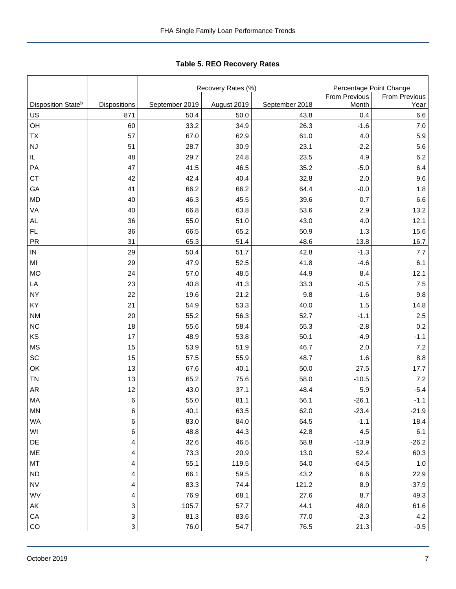|                                |              |                | Recovery Rates (%) |                | Percentage Point Change |                 |  |  |
|--------------------------------|--------------|----------------|--------------------|----------------|-------------------------|-----------------|--|--|
|                                |              |                |                    |                | From Previous           | From Previous   |  |  |
| Disposition State <sup>b</sup> | Dispositions | September 2019 | August 2019        | September 2018 | Month                   | Year            |  |  |
| US                             | 871          | 50.4           | 50.0<br>34.9       | 43.8<br>26.3   | 0.4<br>$-1.6$           | 6.6<br>7.0      |  |  |
| OH                             | 60           | 33.2           |                    |                |                         |                 |  |  |
| TX                             | 57           | 67.0           | 62.9               | 61.0           | 4.0                     | 5.9             |  |  |
| NJ                             | 51           | 28.7           | 30.9               | 23.1           | $-2.2$                  | 5.6             |  |  |
| IL.                            | 48           | 29.7           | 24.8               | 23.5           | 4.9                     | 6.2             |  |  |
| PA                             | 47           | 41.5           | 46.5               | 35.2           | $-5.0$                  | 6.4             |  |  |
| <b>CT</b>                      | 42           | 42.4           | 40.4               | 32.8           | 2.0                     | 9.6             |  |  |
| GA                             | 41           | 66.2           | 66.2               | 64.4           | $-0.0$                  | 1.8             |  |  |
| <b>MD</b>                      | 40           | 46.3           | 45.5               | 39.6           | 0.7                     | 6.6             |  |  |
| VA                             | 40           | 66.8           | 63.8               | 53.6           | 2.9                     | 13.2            |  |  |
| AL                             | 36           | 55.0           | 51.0               | 43.0           | 4.0                     | 12.1            |  |  |
| FL.                            | 36           | 66.5           | 65.2               | 50.9           | 1.3                     | 15.6            |  |  |
| PR                             | 31           | 65.3           | 51.4               | 48.6           | 13.8                    | 16.7            |  |  |
| ${\sf IN}$                     | 29           | 50.4           | 51.7               | 42.8           | $-1.3$                  | 7.7             |  |  |
| MI                             | 29           | 47.9           | 52.5               | 41.8           | $-4.6$                  | 6.1             |  |  |
| <b>MO</b>                      | 24           | 57.0           | 48.5               | 44.9           | 8.4                     | 12.1            |  |  |
| LA                             | 23           | 40.8           | 41.3               | 33.3           | $-0.5$                  | 7.5             |  |  |
| <b>NY</b>                      | 22           | 19.6           | 21.2               | 9.8            | $-1.6$                  | 9.8             |  |  |
| KY                             | 21           | 54.9           | 53.3               | 40.0           | 1.5                     | 14.8            |  |  |
| <b>NM</b>                      | 20           | 55.2           | 56.3               | 52.7           | $-1.1$                  | 2.5             |  |  |
| $NC$                           | 18<br>17     | 55.6<br>48.9   | 58.4               | 55.3           | $-2.8$                  | 0.2             |  |  |
| KS                             |              |                | 53.8<br>51.9       | 50.1<br>46.7   | $-4.9$<br>2.0           | $-1.1$          |  |  |
| MS<br>SC                       | 15           | 53.9<br>57.5   | 55.9               | 48.7           |                         | 7.2<br>8.8      |  |  |
| OK                             | 15           | 67.6           | 40.1               |                | 1.6<br>27.5             |                 |  |  |
| <b>TN</b>                      | 13           | 65.2           |                    | 50.0<br>58.0   |                         | 17.7            |  |  |
| AR                             | 13<br>12     | 43.0           | 75.6<br>37.1       | 48.4           | $-10.5$<br>5.9          | 7.2<br>$-5.4$   |  |  |
| MA                             |              | 55.0           | 81.1               | 56.1           | $-26.1$                 | $-1.1$          |  |  |
|                                | 6            |                |                    |                |                         |                 |  |  |
| <b>MN</b><br>WA                | 6<br>6       | 40.1<br>83.0   | 63.5<br>84.0       | 62.0<br>64.5   | $-23.4$                 | $-21.9$<br>18.4 |  |  |
| WI                             | 6            | 48.8           | 44.3               | 42.8           | $-1.1$<br>4.5           | 6.1             |  |  |
| DE                             | 4            | 32.6           | 46.5               | 58.8           | $-13.9$                 | $-26.2$         |  |  |
| ME                             | 4            | 73.3           | 20.9               | 13.0           | 52.4                    | 60.3            |  |  |
|                                |              |                |                    | 54.0           |                         |                 |  |  |
| MT                             | 4            | 55.1           | 119.5              |                | $-64.5$                 | $1.0$           |  |  |
| <b>ND</b>                      | 4            | 66.1           | 59.5               | 43.2           | 6.6                     | 22.9            |  |  |
| <b>NV</b>                      | 4            | 83.3           | 74.4               | 121.2          | 8.9                     | $-37.9$         |  |  |
| WV                             | 4            | 76.9           | 68.1               | 27.6           | 8.7                     | 49.3            |  |  |
| AK                             | 3            | 105.7          | 57.7               | 44.1           | 48.0                    | 61.6            |  |  |
| CA                             | 3            | 81.3           | 83.6               | 77.0           | $-2.3$                  | $4.2\,$         |  |  |

CO 3 | 76.0 | 54.7 | 76.5 | 21.3 | -0.5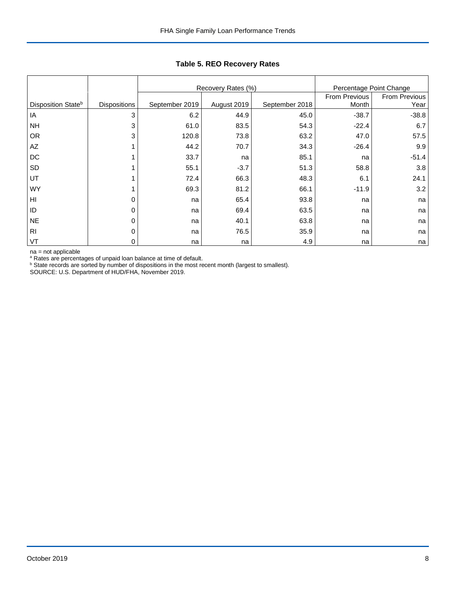|                                |                     |                | Recovery Rates (%) |                | Percentage Point Change |               |
|--------------------------------|---------------------|----------------|--------------------|----------------|-------------------------|---------------|
|                                |                     |                |                    |                | From Previous           | From Previous |
| Disposition State <sup>b</sup> | <b>Dispositions</b> | September 2019 | August 2019        | September 2018 | Month                   | Year          |
| IA                             | 3                   | 6.2            | 44.9               | 45.0           | $-38.7$                 | $-38.8$       |
| <b>NH</b>                      | 3                   | 61.0           | 83.5               | 54.3           | $-22.4$                 | 6.7           |
| <b>OR</b>                      | 3                   | 120.8          | 73.8               | 63.2           | 47.0                    | 57.5          |
| AZ                             |                     | 44.2           | 70.7               | 34.3           | $-26.4$                 | 9.9           |
| DC                             |                     | 33.7           | na                 | 85.1           | na                      | $-51.4$       |
| SD                             |                     | 55.1           | $-3.7$             | 51.3           | 58.8                    | 3.8           |
| UT                             |                     | 72.4           | 66.3               | 48.3           | 6.1                     | 24.1          |
| <b>WY</b>                      |                     | 69.3           | 81.2               | 66.1           | $-11.9$                 | 3.2           |
| HI                             | 0                   | na             | 65.4               | 93.8           | na                      | na            |
| ID                             | 0                   | na             | 69.4               | 63.5           | na                      | na            |
| <b>NE</b>                      | 0                   | na             | 40.1               | 63.8           | na                      | na            |
| R <sub>l</sub>                 | 0                   | na             | 76.5               | 35.9           | na                      | na            |
| VT                             | $\Omega$            | na             | na                 | 4.9            | na                      | na            |

## **Table 5. REO Recovery Rates**

na = not applicable<br>ª Rates are percentages of unpaid loan balance at time of default.<br><sup>b</sup> State records are sorted by number of dispositions in the most recent month (largest to smallest).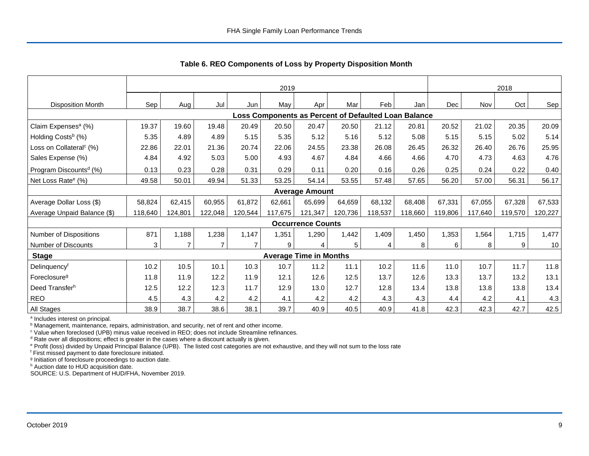|                                     |         | 2019           |         |         |         |                               |         |                                                      |         | 2018    |         |         |         |
|-------------------------------------|---------|----------------|---------|---------|---------|-------------------------------|---------|------------------------------------------------------|---------|---------|---------|---------|---------|
| <b>Disposition Month</b>            | Sep     | Aug            | Jul     | Jun     | May     | Apr                           | Mar     | Feb                                                  | Jan     | Dec     | Nov     | Oct     | Sep     |
|                                     |         |                |         |         |         |                               |         | Loss Components as Percent of Defaulted Loan Balance |         |         |         |         |         |
| Claim Expenses <sup>a</sup> (%)     | 19.37   | 19.60          | 19.48   | 20.49   | 20.50   | 20.47                         | 20.50   | 21.12                                                | 20.81   | 20.52   | 21.02   | 20.35   | 20.09   |
| Holding Costs <sup>b</sup> (%)      | 5.35    | 4.89           | 4.89    | 5.15    | 5.35    | 5.12                          | 5.16    | 5.12                                                 | 5.08    | 5.15    | 5.15    | 5.02    | 5.14    |
| Loss on Collateral <sup>c</sup> (%) | 22.86   | 22.01          | 21.36   | 20.74   | 22.06   | 24.55                         | 23.38   | 26.08                                                | 26.45   | 26.32   | 26.40   | 26.76   | 25.95   |
| Sales Expense (%)                   | 4.84    | 4.92           | 5.03    | 5.00    | 4.93    | 4.67                          | 4.84    | 4.66                                                 | 4.66    | 4.70    | 4.73    | 4.63    | 4.76    |
| Program Discounts <sup>d</sup> (%)  | 0.13    | 0.23           | 0.28    | 0.31    | 0.29    | 0.11                          | 0.20    | 0.16                                                 | 0.26    | 0.25    | 0.24    | 0.22    | 0.40    |
| Net Loss Rate <sup>e</sup> (%)      | 49.58   | 50.01          | 49.94   | 51.33   | 53.25   | 54.14                         | 53.55   | 57.48                                                | 57.65   | 56.20   | 57.00   | 56.31   | 56.17   |
|                                     |         |                |         |         |         | <b>Average Amount</b>         |         |                                                      |         |         |         |         |         |
| Average Dollar Loss (\$)            | 58,824  | 62,415         | 60,955  | 61,872  | 62,661  | 65,699                        | 64,659  | 68,132                                               | 68,408  | 67,331  | 67,055  | 67,328  | 67,533  |
| Average Unpaid Balance (\$)         | 118,640 | 124,801        | 122,048 | 120,544 | 117,675 | 121,347                       | 120,736 | 118,537                                              | 118,660 | 119,806 | 117,640 | 119,570 | 120,227 |
|                                     |         |                |         |         |         | <b>Occurrence Counts</b>      |         |                                                      |         |         |         |         |         |
| Number of Dispositions              | 871     | 1,188          | 1,238   | 1,147   | 1,351   | 1,290                         | 1,442   | 1,409                                                | 1,450   | 1,353   | 1,564   | 1,715   | 1,477   |
| Number of Discounts                 | 3       | $\overline{7}$ | 7       |         | 9       | 4                             | 5       | 4                                                    | 8       | 6       | 8       | 9       | 10      |
| <b>Stage</b>                        |         |                |         |         |         | <b>Average Time in Months</b> |         |                                                      |         |         |         |         |         |
| Delinquency <sup>f</sup>            | 10.2    | 10.5           | 10.1    | 10.3    | 10.7    | 11.2                          | 11.1    | 10.2                                                 | 11.6    | 11.0    | 10.7    | 11.7    | 11.8    |
| Foreclosure <sup>g</sup>            | 11.8    | 11.9           | 12.2    | 11.9    | 12.1    | 12.6                          | 12.5    | 13.7                                                 | 12.6    | 13.3    | 13.7    | 13.2    | 13.1    |
| Deed Transferh                      | 12.5    | 12.2           | 12.3    | 11.7    | 12.9    | 13.0                          | 12.7    | 12.8                                                 | 13.4    | 13.8    | 13.8    | 13.8    | 13.4    |
| <b>REO</b>                          | 4.5     | 4.3            | 4.2     | 4.2     | 4.1     | 4.2                           | 4.2     | 4.3                                                  | 4.3     | 4.4     | 4.2     | 4.1     | 4.3     |
| All Stages                          | 38.9    | 38.7           | 38.6    | 38.1    | 39.7    | 40.9                          | 40.5    | 40.9                                                 | 41.8    | 42.3    | 42.3    | 42.7    | 42.5    |

 **Table 6. REO Components of Loss by Property Disposition Month**

<sup>a</sup> Includes interest on principal.

<sup>b</sup> Management, maintenance, repairs, administration, and security, net of rent and other income.

c Value when foreclosed (UPB) minus value received in REO; does not include Streamline refinances.

<sup>d</sup> Rate over all dispositions; effect is greater in the cases where a discount actually is given.

e Profit (loss) divided by Unpaid Principal Balance (UPB). The listed cost categories are not exhaustive, and they will not sum to the loss rate

f First missed payment to date foreclosure initiated.

<sup>g</sup> Initiation of foreclosure proceedings to auction date.

h Auction date to HUD acquisition date.